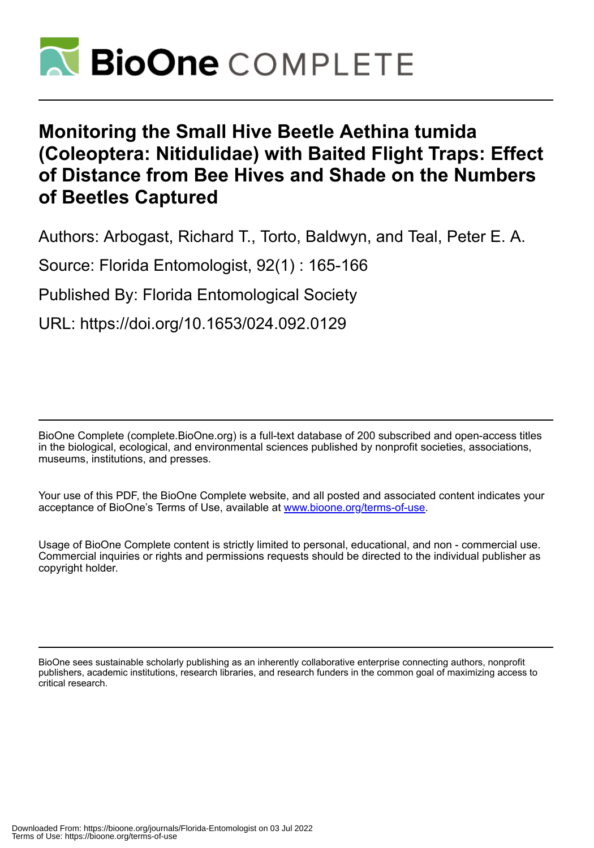

## **Monitoring the Small Hive Beetle Aethina tumida (Coleoptera: Nitidulidae) with Baited Flight Traps: Effect of Distance from Bee Hives and Shade on the Numbers of Beetles Captured**

Authors: Arbogast, Richard T., Torto, Baldwyn, and Teal, Peter E. A.

Source: Florida Entomologist, 92(1) : 165-166

Published By: Florida Entomological Society

URL: https://doi.org/10.1653/024.092.0129

BioOne Complete (complete.BioOne.org) is a full-text database of 200 subscribed and open-access titles in the biological, ecological, and environmental sciences published by nonprofit societies, associations, museums, institutions, and presses.

Your use of this PDF, the BioOne Complete website, and all posted and associated content indicates your acceptance of BioOne's Terms of Use, available at www.bioone.org/terms-of-use.

Usage of BioOne Complete content is strictly limited to personal, educational, and non - commercial use. Commercial inquiries or rights and permissions requests should be directed to the individual publisher as copyright holder.

BioOne sees sustainable scholarly publishing as an inherently collaborative enterprise connecting authors, nonprofit publishers, academic institutions, research libraries, and research funders in the common goal of maximizing access to critical research.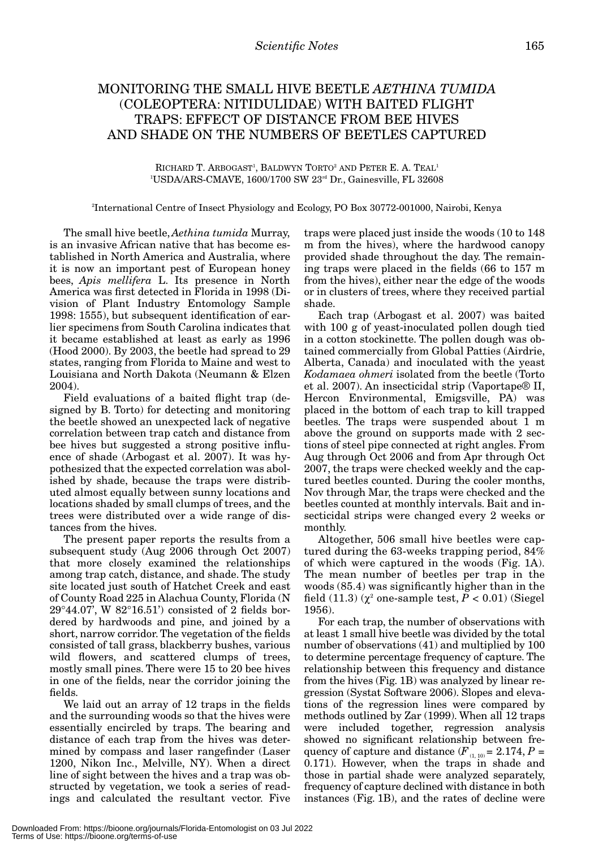## MONITORING THE SMALL HIVE BEETLE *AETHINA TUMIDA* (COLEOPTERA: NITIDULIDAE) WITH BAITED FLIGHT TRAPS: EFFECT OF DISTANCE FROM BEE HIVES AND SHADE ON THE NUMBERS OF BEETLES CAPTURED

RICHARD T. ARBOGAST<sup>1</sup>, BALDWYN TORTO<sup>2</sup> AND PETER E. A. TEAL<sup>1</sup> 1 USDA/ARS-CMAVE, 1600/1700 SW 23rd Dr., Gainesville, FL 32608

2 International Centre of Insect Physiology and Ecology, PO Box 30772-001000, Nairobi, Kenya

The small hive beetle, *Aethina tumida* Murray, is an invasive African native that has become established in North America and Australia, where it is now an important pest of European honey bees, *Apis mellifera* L. Its presence in North America was first detected in Florida in 1998 (Division of Plant Industry Entomology Sample 1998: 1555), but subsequent identification of earlier specimens from South Carolina indicates that it became established at least as early as 1996 (Hood 2000). By 2003, the beetle had spread to 29 states, ranging from Florida to Maine and west to Louisiana and North Dakota (Neumann & Elzen 2004).

Field evaluations of a baited flight trap (designed by B. Torto) for detecting and monitoring the beetle showed an unexpected lack of negative correlation between trap catch and distance from bee hives but suggested a strong positive influence of shade (Arbogast et al. 2007). It was hypothesized that the expected correlation was abolished by shade, because the traps were distributed almost equally between sunny locations and locations shaded by small clumps of trees, and the trees were distributed over a wide range of distances from the hives.

The present paper reports the results from a subsequent study (Aug 2006 through Oct 2007) that more closely examined the relationships among trap catch, distance, and shade. The study site located just south of Hatchet Creek and east of County Road 225 in Alachua County, Florida (N 29°44.07', W 82°16.51') consisted of 2 fields bordered by hardwoods and pine, and joined by a short, narrow corridor. The vegetation of the fields consisted of tall grass, blackberry bushes, various wild flowers, and scattered clumps of trees, mostly small pines. There were 15 to 20 bee hives in one of the fields, near the corridor joining the fields.

We laid out an array of 12 traps in the fields and the surrounding woods so that the hives were essentially encircled by traps. The bearing and distance of each trap from the hives was determined by compass and laser rangefinder (Laser 1200, Nikon Inc., Melville, NY). When a direct line of sight between the hives and a trap was obstructed by vegetation, we took a series of readings and calculated the resultant vector. Five

traps were placed just inside the woods (10 to 148 m from the hives), where the hardwood canopy provided shade throughout the day. The remaining traps were placed in the fields (66 to 157 m from the hives), either near the edge of the woods or in clusters of trees, where they received partial shade.

Each trap (Arbogast et al. 2007) was baited with 100 g of yeast-inoculated pollen dough tied in a cotton stockinette. The pollen dough was obtained commercially from Global Patties (Airdrie, Alberta, Canada) and inoculated with the yeast *Kodamaea ohmeri* isolated from the beetle (Torto et al. 2007). An insecticidal strip (Vaportape® II, Hercon Environmental, Emigsville, PA) was placed in the bottom of each trap to kill trapped beetles. The traps were suspended about 1 m above the ground on supports made with 2 sections of steel pipe connected at right angles. From Aug through Oct 2006 and from Apr through Oct 2007, the traps were checked weekly and the captured beetles counted. During the cooler months, Nov through Mar, the traps were checked and the beetles counted at monthly intervals. Bait and insecticidal strips were changed every 2 weeks or monthly.

Altogether, 506 small hive beetles were captured during the 63-weeks trapping period, 84% of which were captured in the woods (Fig. 1A). The mean number of beetles per trap in the woods (85.4) was significantly higher than in the field  $(11.3)$   $(\chi^2$  one-sample test,  $P < 0.01$ ) (Siegel 1956).

For each trap, the number of observations with at least 1 small hive beetle was divided by the total number of observations (41) and multiplied by 100 to determine percentage frequency of capture. The relationship between this frequency and distance from the hives (Fig. 1B) was analyzed by linear regression (Systat Software 2006). Slopes and elevations of the regression lines were compared by methods outlined by Zar (1999). When all 12 traps were included together, regression analysis showed no significant relationship between frequency of capture and distance  $(F_{(1, 10)} = 2.174, P =$ 0.171). However, when the traps in shade and those in partial shade were analyzed separately, frequency of capture declined with distance in both instances (Fig. 1B), and the rates of decline were